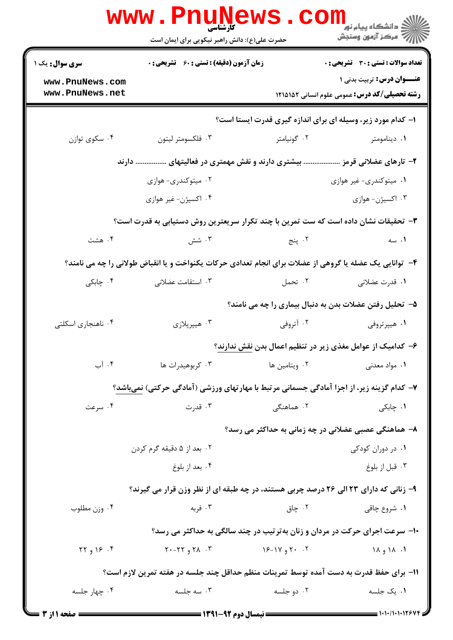|                                                                                                         | <b>www.PnuNews</b><br>کارشناسی<br>حضرت علی(ع): دانش راهبر نیکویی برای ایمان است          |               | ر دانشڪاه پيام نور <mark>−</mark><br>ا∛ مرکز آزمون وسنڊش                                                                |  |  |
|---------------------------------------------------------------------------------------------------------|------------------------------------------------------------------------------------------|---------------|-------------------------------------------------------------------------------------------------------------------------|--|--|
| <b>سری سوال :</b> یک ۱                                                                                  | <b>زمان آزمون (دقیقه) : تستی : 60 ٪ تشریحی : 0</b>                                       |               | <b>تعداد سوالات : تستی : 30 ٪ تشریحی : 0</b>                                                                            |  |  |
| www.PnuNews.com<br>www.PnuNews.net                                                                      |                                                                                          |               | عنــوان درس: تربیت بدنی ۱<br><b>رشته تحصیلی/کد درس:</b> عمومی علوم انسانی ۱۲۱۵۱۵۲                                       |  |  |
| ا- کدام مورد زیر، وسیله ای برای اندازه گیری قدرت ایستا است؟                                             |                                                                                          |               |                                                                                                                         |  |  |
| ۰۴ سکوي توازن                                                                                           | ۰۳ فلكسومتر ليتون                                                                        | ۰۲ گونیامتر   | ۰۱ دینامومتر                                                                                                            |  |  |
|                                                                                                         | بیشتری دارند و نقش مهمتری در فعالیتهای  دارند                                            |               | ۲– تارهای عضلانی قرمز                                                                                                   |  |  |
|                                                                                                         | ۰۲ میتوکندری- هوازی                                                                      |               | ۰۱ میتوکندری- غیر هوازی                                                                                                 |  |  |
|                                                                                                         | ۰۴ اکسیژن- غیر هوازی                                                                     |               | ۰۳ اکسیژن- هوازی                                                                                                        |  |  |
|                                                                                                         | ۳- تحقیقات نشان داده است که ست تمرین با چند تکرار سریعترین روش دستیابی به قدرت است؟      |               |                                                                                                                         |  |  |
| ۰۴ هشت                                                                                                  | ۰۳ شش                                                                                    | ۲. پنج        | ۰۱ سه                                                                                                                   |  |  |
| ۴- توانایی یک عضله یا گروهی از عضلات برای انجام تعدادی حرکات یکنواخت و یا انقباض طولانی را چه می نامند؟ |                                                                                          |               |                                                                                                                         |  |  |
| ۰۴ چابکی                                                                                                | ۰۳ استقامت عضلانی                                                                        | ۰۲ تحمل       | ٠١. قدرت عضلاني                                                                                                         |  |  |
|                                                                                                         |                                                                                          |               | ۵− تحلیل رفتن عضلات بدن به دنبال بیماری را چه می نامند؟                                                                 |  |  |
| ۰۴ ناهنجاری اسکلتی                                                                                      | ۰۳ هیپرپلازی                                                                             | ۰۲ آتروفی     | ۰۱ هیپرتروفی                                                                                                            |  |  |
|                                                                                                         |                                                                                          |               | ۶– کدامیک از عوامل مغذی زیر در تنظیم اعمال بدن نقش ندارند؟                                                              |  |  |
| ۰۴ آب                                                                                                   | ۰۳ کربوهیدرات ها                                                                         | ۰۲ ویتامین ها | ۰۱ مواد معدنی                                                                                                           |  |  |
|                                                                                                         | ۷- کدام گزینه زیر، از اجزا آمادگی جسمانی مرتبط با مهارتهای ورزشی (آمادگی حرکتی) نمیباشد؟ |               |                                                                                                                         |  |  |
| ۰۴ سرعت                                                                                                 | ۰۳ قدرت                                                                                  | ۰۲ هماهنگی    | ۰۱ چابکی                                                                                                                |  |  |
|                                                                                                         |                                                                                          |               | ۸– هماهنگی عصبی عضلانی در چه زمانی به حداکثر می رسد؟                                                                    |  |  |
|                                                                                                         | ۰۲ بعد از ۵ دقیقه گرم کردن                                                               |               | ۰۱ در دوران کودکی                                                                                                       |  |  |
|                                                                                                         | ۰۴ بعد از بلوغ                                                                           |               | ۰۳ قبل از بلوغ                                                                                                          |  |  |
|                                                                                                         | ۹- زنانی که دارای ۲۳ الی ۲۶ درصد چربی هستند، در چه طبقه ای از نظر وزن قرار می گیرند؟     |               |                                                                                                                         |  |  |
| ۰۴ وزن مطلوب                                                                                            | ۰۳ فربه                                                                                  | ۰۲ چاق        | ۰۱ شروع چاقی                                                                                                            |  |  |
|                                                                                                         | ۱۰- سرعت اجرای حرکت در مردان و زنان بهترتیب در چند سالگی به حداکثر می رسد؟               |               |                                                                                                                         |  |  |
| $\begin{bmatrix} 5 & 1 \\ 1 & 1 \end{bmatrix}$                                                          | $Y - YY$ <sub>9</sub> $Y$                                                                | ۲۰ ۲۰ و ۱۷-۱۶ | $1\wedge$ $\theta$ $\wedge$ $\wedge$ $\wedge$                                                                           |  |  |
|                                                                                                         | 1۱– برای حفظ قدرت به دست آمده توسط تمرینات منظم حداقل چند جلسه در هفته تمرین لازم است؟   |               |                                                                                                                         |  |  |
| ۰۴ چهار جلسه                                                                                            | ۰۳ سه جلسه                                                                               | ۰۲ دو جلسه    | ۰۱ یک جلسه                                                                                                              |  |  |
| <b>ــ صفحه ۱ از 3</b>                                                                                   |                                                                                          |               | $\longrightarrow$ $\longrightarrow$ $\longmapsto$ $\longmapsto$ $\longmapsto$ $\longmapsto$ $\longmapsto$ $\longmapsto$ |  |  |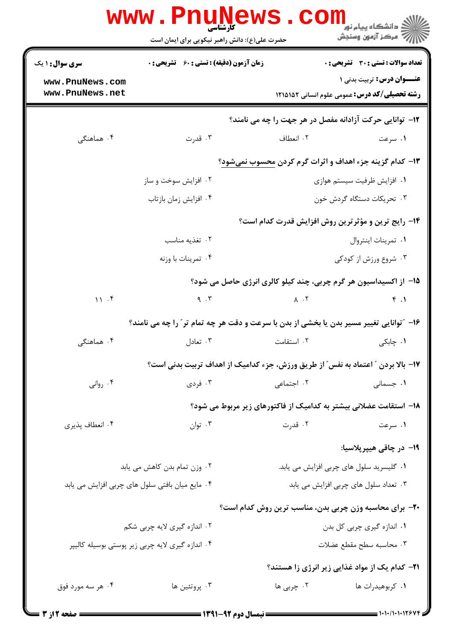| www.PnuNews<br>ر دانشڪاه پيام نور <mark>−</mark><br>ر <i>ا</i> ≫ مرکز آزمون وسنڊش |                                                                                         |                                       |                                                                                          |  |  |
|-----------------------------------------------------------------------------------|-----------------------------------------------------------------------------------------|---------------------------------------|------------------------------------------------------------------------------------------|--|--|
|                                                                                   | حضرت علی(ع): دانش راهبر نیکویی برای ایمان است                                           |                                       |                                                                                          |  |  |
| <b>سری سوال : ۱ یک</b>                                                            | <b>زمان آزمون (دقیقه) : تستی : 60 ٪ تشریحی : 0</b>                                      |                                       | تعداد سوالات : تستي : 30 ٪ تشريحي : 0                                                    |  |  |
| www.PnuNews.com<br>www.PnuNews.net                                                |                                                                                         |                                       | <b>عنــوان درس:</b> تربیت بدنی ۱<br><b>رشته تحصیلی/کد درس:</b> عمومی علوم انسانی ۱۲۱۵۱۵۲ |  |  |
|                                                                                   |                                                                                         |                                       | 12- توانایی حرکت آزادانه مفصل در هر جهت را چه می نامند؟                                  |  |  |
| ۰۴ هماهنگی                                                                        | ۰۳ قدرت                                                                                 | ۰۲ انعطاف                             | ۰۱ سرعت                                                                                  |  |  |
| ۱۳- کدام گزینه جزء اهداف و اثرات گرم کردن محسوب نمیشود؟                           |                                                                                         |                                       |                                                                                          |  |  |
|                                                                                   | ۰۲ افزایش سوخت و ساز                                                                    |                                       | ٠١ افزايش ظرفيت سيستم هوازى                                                              |  |  |
|                                                                                   | ۰۴ افزايش زمان بازتاب                                                                   |                                       | ۰۳ تحریکات دستگاه گردش خون                                                               |  |  |
|                                                                                   |                                                                                         |                                       | ۱۴- رایج ترین و مؤثرترین روش افزایش قدرت کدام است؟                                       |  |  |
|                                                                                   | ۰۲ تغذیه مناسب                                                                          | ٠١ تمرينات اينتروال                   |                                                                                          |  |  |
|                                                                                   | ۰۴ تمرينات با وزنه                                                                      |                                       | ۰۳ شروع ورزش از کودکی                                                                    |  |  |
|                                                                                   |                                                                                         |                                       | ۱۵– از اکسیداسیون هر گرم چربی، چند کیلو کالری انرژی حاصل می شود؟                         |  |  |
| 11.7                                                                              | 9.7                                                                                     | $\lambda$ . T                         | f.1                                                                                      |  |  |
|                                                                                   | ۱۶- "توانایی تغییر مسیر بدن یا بخشی از بدن با سرعت و دقت هر چه تمام تر" را چه می نامند؟ |                                       |                                                                                          |  |  |
| ۰۴ هماهنگ <i>ی</i>                                                                | ۰۳ تعادل                                                                                | ٠٢ استقامت                            | ۰۱ چابکی                                                                                 |  |  |
|                                                                                   | ۱۷- بالا بردن ″ اعتماد به نفس″ از طریق ورزش، جزء کدامیک از اهداف تربیت بدنی است؟        |                                       |                                                                                          |  |  |
| ۰۴ روانی                                                                          | ۲. اجتماعی مسلمه است. ته تودی                                                           |                                       | ۰۱ جسمانی                                                                                |  |  |
|                                                                                   |                                                                                         |                                       | ۱۸– استقامت عضلانی بیشتر به کدامیک از فاکتورهای زیر مربوط می شود؟                        |  |  |
| ۰۴ انعطاف پذیری                                                                   | ۰۳ توان                                                                                 | ۰۲ قدرت                               | ۰۱ سرعت                                                                                  |  |  |
|                                                                                   |                                                                                         |                                       | 1۹– در چاقی هیپرپلاسیا:                                                                  |  |  |
|                                                                                   | ۰۲ وزن تمام بدن کاهش می یابد                                                            |                                       | ۰۱ گلیسرید سلول های چربی افزایش می یابد.                                                 |  |  |
|                                                                                   | ۰۴ مایع میان بافتی سلول های چربی افزایش می یابد                                         | ۰۳ تعداد سلول های چربی افزایش می یابد |                                                                                          |  |  |
|                                                                                   |                                                                                         |                                       | ۲۰- برای محاسبه وزن چربی بدن، مناسب ترین روش کدام است؟                                   |  |  |
|                                                                                   | ۰۲ اندازه گیری لایه چربی شکم                                                            |                                       | ۰۱ اندازه گیری چربی کل بدن                                                               |  |  |
|                                                                                   | ۰۴ اندازه گیری لایه چربی زیر پوستی بوسیله کالیپر                                        |                                       | ۰۳ محاسبه سطح مقطع عضلات                                                                 |  |  |
|                                                                                   |                                                                                         |                                       | <b>۲۱</b> – کدام یک از مواد غذایی زیر انرژی زا هستند؟                                    |  |  |
| ۰۴ هر سه مورد فوق                                                                 | ۰۳ پروتئين ها                                                                           | ۰۲ چربی ها                            | ۰۱ کربوهیدرات ها                                                                         |  |  |
|                                                                                   |                                                                                         |                                       |                                                                                          |  |  |